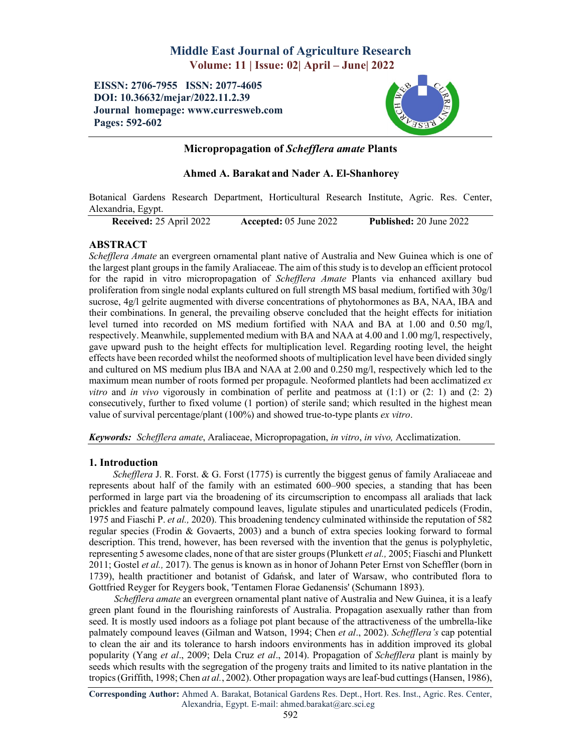# Middle East Journal of Agriculture Research Volume: 11 | Issue: 02| April – June| 2022

# EISSN: 2706-7955 ISSN: 2077-4605 DOI: 10.36632/mejar/2022.11.2.39 Journal homepage: www.curresweb.com Pages: 592-602



# Micropropagation of *Schefflera amate* Plants

# Ahmed A. Barakat and Nader A. El-Shanhorey

Botanical Gardens Research Department, Horticultural Research Institute, Agric. Res. Center, Alexandria, Egypt.

Received: 25 April 2022 Accepted: 05 June 2022 Published: 20 June 2022

# ABSTRACT

*Schefflera Amate* an evergreen ornamental plant native of Australia and New Guinea which is one of the largest plant groups in the family Araliaceae. The aim of this study is to develop an efficient protocol for the rapid in vitro micropropagation of *Schefflera Amate* Plants via enhanced axillary bud proliferation from single nodal explants cultured on full strength MS basal medium, fortified with 30g/l sucrose, 4g/l gelrite augmented with diverse concentrations of phytohormones as BA, NAA, IBA and their combinations. In general, the prevailing observe concluded that the height effects for initiation level turned into recorded on MS medium fortified with NAA and BA at 1.00 and 0.50 mg/l, respectively. Meanwhile, supplemented medium with BA and NAA at 4.00 and 1.00 mg/l, respectively, gave upward push to the height effects for multiplication level. Regarding rooting level, the height effects have been recorded whilst the neoformed shoots of multiplication level have been divided singly and cultured on MS medium plus IBA and NAA at 2.00 and 0.250 mg/l, respectively which led to the maximum mean number of roots formed per propagule. Neoformed plantlets had been acclimatized *ex vitro* and *in vivo* vigorously in combination of perlite and peatmoss at (1:1) or (2: 1) and (2: 2) consecutively, further to fixed volume (1 portion) of sterile sand; which resulted in the highest mean value of survival percentage/plant (100%) and showed true-to-type plants *ex vitro*.

*Keywords: Schefflera amate*, Araliaceae, Micropropagation, *in vitro*, *in vivo,* Acclimatization.

### 1. Introduction

*Schefflera* J. R. Forst. & G. Forst (1775) is currently the biggest genus of family Araliaceae and represents about half of the family with an estimated 600–900 species, a standing that has been performed in large part via the broadening of its circumscription to encompass all araliads that lack prickles and feature palmately compound leaves, ligulate stipules and unarticulated pedicels (Frodin, 1975 and Fiaschi P. *et al.,* 2020). This broadening tendency culminated withinside the reputation of 582 regular species (Frodin & Govaerts, 2003) and a bunch of extra species looking forward to formal description. This trend, however, has been reversed with the invention that the genus is polyphyletic, representing 5 awesome clades, none of that are sister groups (Plunkett *et al.,* 2005; Fiaschi and Plunkett 2011; Gostel *et al.,* 2017). The genus is known as in honor of Johann Peter Ernst von Scheffler (born in 1739), health practitioner and botanist of Gdańsk, and later of Warsaw, who contributed flora to Gottfried Reyger for Reygers book, 'Tentamen Florae Gedanensis' (Schumann 1893).

*Schefflera amate* an evergreen ornamental plant native of Australia and New Guinea, it is a leafy green plant found in the flourishing rainforests of Australia. Propagation asexually rather than from seed. It is mostly used indoors as a foliage pot plant because of the attractiveness of the umbrella-like palmately compound leaves (Gilman and Watson, 1994; Chen *et al*., 2002). *Schefflera's* cap potential to clean the air and its tolerance to harsh indoors environments has in addition improved its global popularity (Yang *et al*., 2009; Dela Cruz *et al*., 2014). Propagation of *Schefflera* plant is mainly by seeds which results with the segregation of the progeny traits and limited to its native plantation in the tropics (Griffith, 1998; Chen *at al.*, 2002). Other propagation ways are leaf-bud cuttings (Hansen, 1986),

Corresponding Author: Ahmed A. Barakat, Botanical Gardens Res. Dept., Hort. Res. Inst., Agric. Res. Center, Alexandria, Egypt. E-mail: ahmed.barakat@arc.sci.eg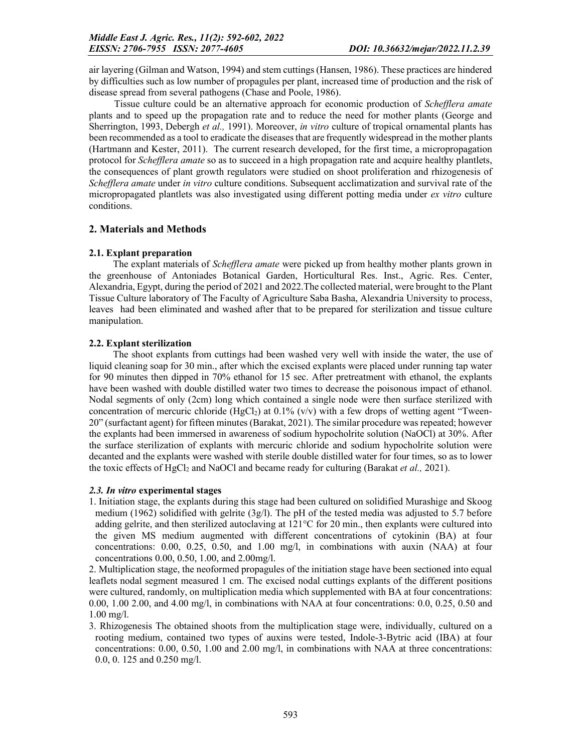air layering (Gilman and Watson, 1994) and stem cuttings (Hansen, 1986). These practices are hindered by difficulties such as low number of propagules per plant, increased time of production and the risk of disease spread from several pathogens (Chase and Poole, 1986).

Tissue culture could be an alternative approach for economic production of *Schefflera amate* plants and to speed up the propagation rate and to reduce the need for mother plants (George and Sherrington, 1993, Debergh *et al.,* 1991). Moreover, *in vitro* culture of tropical ornamental plants has been recommended as a tool to eradicate the diseases that are frequently widespread in the mother plants (Hartmann and Kester, 2011). The current research developed, for the first time, a micropropagation protocol for *Schefflera amate* so as to succeed in a high propagation rate and acquire healthy plantlets, the consequences of plant growth regulators were studied on shoot proliferation and rhizogenesis of *Schefflera amate* under *in vitro* culture conditions. Subsequent acclimatization and survival rate of the micropropagated plantlets was also investigated using different potting media under *ex vitro* culture conditions.

### 2. Materials and Methods

### 2.1. Explant preparation

The explant materials of *Schefflera amate* were picked up from healthy mother plants grown in the greenhouse of Antoniades Botanical Garden, Horticultural Res. Inst., Agric. Res. Center, Alexandria, Egypt, during the period of 2021 and 2022.The collected material, were brought to the Plant Tissue Culture laboratory of The Faculty of Agriculture Saba Basha, Alexandria University to process, leaves had been eliminated and washed after that to be prepared for sterilization and tissue culture manipulation.

### 2.2. Explant sterilization

The shoot explants from cuttings had been washed very well with inside the water, the use of liquid cleaning soap for 30 min., after which the excised explants were placed under running tap water for 90 minutes then dipped in 70% ethanol for 15 sec. After pretreatment with ethanol, the explants have been washed with double distilled water two times to decrease the poisonous impact of ethanol. Nodal segments of only (2cm) long which contained a single node were then surface sterilized with concentration of mercuric chloride (HgCl<sub>2</sub>) at 0.1% (v/v) with a few drops of wetting agent "Tween-20" (surfactant agent) for fifteen minutes (Barakat, 2021). The similar procedure was repeated; however the explants had been immersed in awareness of sodium hypocholrite solution (NaOCl) at 30%. After the surface sterilization of explants with mercuric chloride and sodium hypocholrite solution were decanted and the explants were washed with sterile double distilled water for four times, so as to lower the toxic effects of HgCl<sub>2</sub> and NaOCl and became ready for culturing (Barakat *et al.*, 2021).

### *2.3. In vitro* experimental stages

1. Initiation stage, the explants during this stage had been cultured on solidified Murashige and Skoog medium (1962) solidified with gelrite  $(3g/l)$ . The pH of the tested media was adjusted to 5.7 before adding gelrite, and then sterilized autoclaving at 121°C for 20 min., then explants were cultured into the given MS medium augmented with different concentrations of cytokinin (BA) at four concentrations: 0.00, 0.25, 0.50, and 1.00 mg/l, in combinations with auxin (NAA) at four concentrations 0.00, 0.50, 1.00, and 2.00mg/l.

2. Multiplication stage, the neoformed propagules of the initiation stage have been sectioned into equal leaflets nodal segment measured 1 cm. The excised nodal cuttings explants of the different positions were cultured, randomly, on multiplication media which supplemented with BA at four concentrations: 0.00, 1.00 2.00, and 4.00 mg/l, in combinations with NAA at four concentrations: 0.0, 0.25, 0.50 and 1.00 mg/l.

3. Rhizogenesis The obtained shoots from the multiplication stage were, individually, cultured on a rooting medium, contained two types of auxins were tested, Indole-3-Bytric acid (IBA) at four concentrations: 0.00, 0.50, 1.00 and 2.00 mg/l, in combinations with NAA at three concentrations: 0.0, 0. 125 and 0.250 mg/l.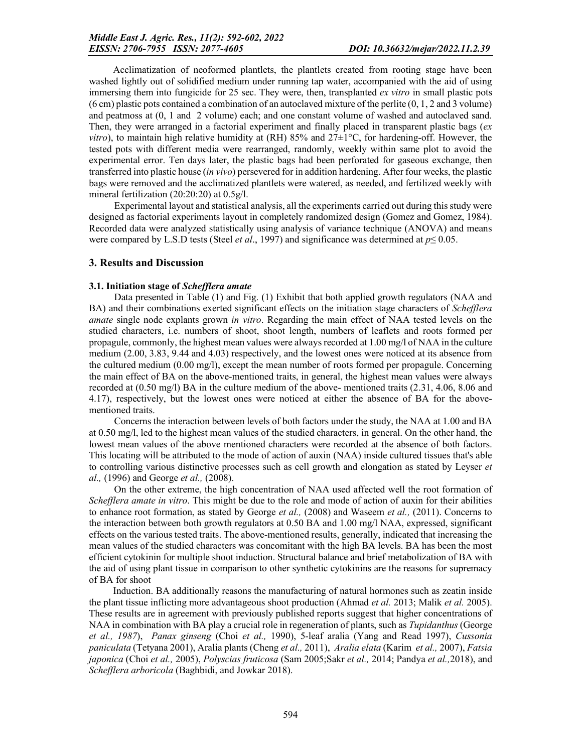Acclimatization of neoformed plantlets, the plantlets created from rooting stage have been washed lightly out of solidified medium under running tap water, accompanied with the aid of using immersing them into fungicide for 25 sec. They were, then, transplanted *ex vitro* in small plastic pots (6 cm) plastic pots contained a combination of an autoclaved mixture of the perlite (0, 1, 2 and 3 volume) and peatmoss at (0, 1 and 2 volume) each; and one constant volume of washed and autoclaved sand. Then, they were arranged in a factorial experiment and finally placed in transparent plastic bags (*ex vitro*), to maintain high relative humidity at (RH) 85% and 27 $\pm$ 1°C, for hardening-off. However, the tested pots with different media were rearranged, randomly, weekly within same plot to avoid the experimental error. Ten days later, the plastic bags had been perforated for gaseous exchange, then transferred into plastic house (*in vivo*) persevered for in addition hardening. After four weeks, the plastic bags were removed and the acclimatized plantlets were watered, as needed, and fertilized weekly with mineral fertilization (20:20:20) at 0.5g/l.

Experimental layout and statistical analysis, all the experiments carried out during this study were designed as factorial experiments layout in completely randomized design (Gomez and Gomez, 1984). Recorded data were analyzed statistically using analysis of variance technique (ANOVA) and means were compared by L.S.D tests (Steel *et al*., 1997) and significance was determined at *p*≤ 0.05.

#### 3. Results and Discussion

#### 3.1. Initiation stage of *Schefflera amate*

Data presented in Table (1) and Fig. (1) Exhibit that both applied growth regulators (NAA and BA) and their combinations exerted significant effects on the initiation stage characters of *Schefflera amate* single node explants grown *in vitro*. Regarding the main effect of NAA tested levels on the studied characters, i.e. numbers of shoot, shoot length, numbers of leaflets and roots formed per propagule, commonly, the highest mean values were always recorded at 1.00 mg/l of NAA in the culture medium (2.00, 3.83, 9.44 and 4.03) respectively, and the lowest ones were noticed at its absence from the cultured medium (0.00 mg/l), except the mean number of roots formed per propagule. Concerning the main effect of BA on the above-mentioned traits, in general, the highest mean values were always recorded at (0.50 mg/l) BA in the culture medium of the above- mentioned traits (2.31, 4.06, 8.06 and 4.17), respectively, but the lowest ones were noticed at either the absence of BA for the abovementioned traits.

Concerns the interaction between levels of both factors under the study, the NAA at 1.00 and BA at 0.50 mg/l, led to the highest mean values of the studied characters, in general. On the other hand, the lowest mean values of the above mentioned characters were recorded at the absence of both factors. This locating will be attributed to the mode of action of auxin (NAA) inside cultured tissues that's able to controlling various distinctive processes such as cell growth and elongation as stated by Leyser *et al.,* (1996) and George *et al.,* (2008).

On the other extreme, the high concentration of NAA used affected well the root formation of *Schefflera amate in vitro*. This might be due to the role and mode of action of auxin for their abilities to enhance root formation, as stated by George *et al.,* (2008) and Waseem *et al.,* (2011). Concerns to the interaction between both growth regulators at 0.50 BA and 1.00 mg/l NAA, expressed, significant effects on the various tested traits. The above-mentioned results, generally, indicated that increasing the mean values of the studied characters was concomitant with the high BA levels. BA has been the most efficient cytokinin for multiple shoot induction. Structural balance and brief metabolization of BA with the aid of using plant tissue in comparison to other synthetic cytokinins are the reasons for supremacy of BA for shoot

Induction. BA additionally reasons the manufacturing of natural hormones such as zeatin inside the plant tissue inflicting more advantageous shoot production (Ahmad *et al.* 2013; Malik *et al.* 2005). These results are in agreement with previously published reports suggest that higher concentrations of NAA in combination with BA play a crucial role in regeneration of plants, such as *Tupidanthus*(George *et al., 1987*), *Panax ginseng* (Choi *et al.,* 1990), 5-leaf aralia (Yang and Read 1997), *Cussonia paniculata* (Tetyana 2001), Aralia plants (Cheng *et al.,* 2011), *Aralia elata* (Karim *et al.,* 2007), *Fatsia japonica* (Choi *et al.,* 2005), *Polyscias fruticosa* (Sam 2005;Sakr *et al.,* 2014; Pandya *et al.,*2018), and *Schefflera arboricola* (Baghbidi, and Jowkar 2018).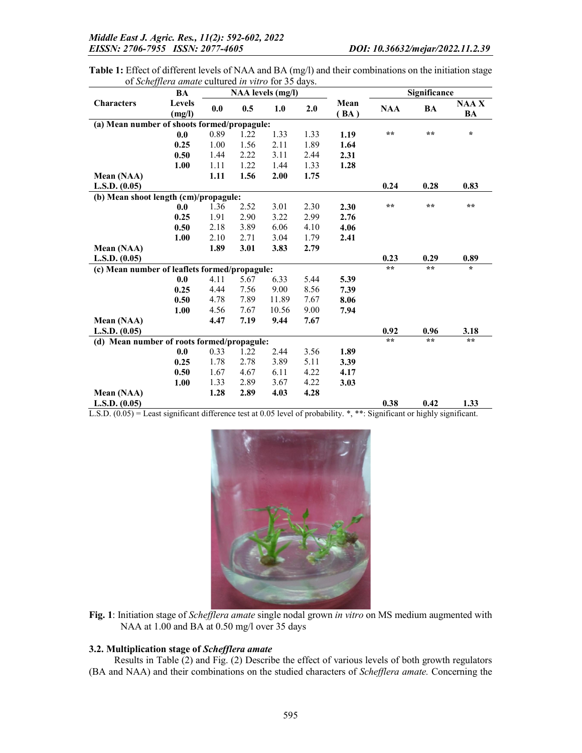Table 1: Effect of different levels of NAA and BA (mg/l) and their combinations on the initiation stage of *Schefflera amate* cultured *in vitro* for 35 days.

|                                               | BA             |          |      | NAA levels (mg/l) |      |      |                 | Significance    |             |
|-----------------------------------------------|----------------|----------|------|-------------------|------|------|-----------------|-----------------|-------------|
| <b>Characters</b>                             | <b>Levels</b>  | 0.0      | 0.5  | 1.0               | 2.0  | Mean | <b>NAA</b>      | BA              | <b>NAAX</b> |
|                                               | (mg/l)         |          |      |                   |      | (BA) |                 |                 | BA          |
| (a) Mean number of shoots formed/propagule:   |                |          |      |                   |      |      |                 |                 |             |
|                                               | 0.0            | 0.89     | 1.22 | 1.33              | 1.33 | 1.19 | $\star$ $\star$ | $\star$ $\star$ | $\star$     |
|                                               | 0.25           | 1.00     | 1.56 | 2.11              | 1.89 | 1.64 |                 |                 |             |
|                                               | 0.50           | 1.44     | 2.22 | 3.11              | 2.44 | 2.31 |                 |                 |             |
|                                               | 1.00           | 1.11     | 1.22 | 1.44              | 1.33 | 1.28 |                 |                 |             |
| Mean (NAA)                                    |                | 1.11     | 1.56 | 2.00              | 1.75 |      |                 |                 |             |
| L.S.D. (0.05)                                 |                |          |      |                   |      |      | 0.24            | 0.28            | 0.83        |
| (b) Mean shoot length (cm)/propagule:         |                |          |      |                   |      |      |                 |                 |             |
|                                               | 0.0            | 1.36     | 2.52 | 3.01              | 2.30 | 2.30 | $\star\star$    | $* *$           | $**$        |
|                                               | 0.25           | 1.91     | 2.90 | 3.22              | 2.99 | 2.76 |                 |                 |             |
|                                               | 0.50           | 2.18     | 3.89 | 6.06              | 4.10 | 4.06 |                 |                 |             |
|                                               | 1.00           | 2.10     | 2.71 | 3.04              | 1.79 | 2.41 |                 |                 |             |
| Mean (NAA)                                    |                | 1.89     | 3.01 | 3.83              | 2.79 |      |                 |                 |             |
| L.S.D. (0.05)                                 |                |          |      |                   |      |      | 0.23            | 0.29            | 0.89        |
| (c) Mean number of leaflets formed/propagule: |                |          |      |                   |      |      | $\star\star$    | $* *$           | $\star$     |
|                                               | 0.0            | 4.11     | 5.67 | 6.33              | 5.44 | 5.39 |                 |                 |             |
|                                               | 0.25           | 4.44     | 7.56 | 9.00              | 8.56 | 7.39 |                 |                 |             |
|                                               | 0.50           | 4.78     | 7.89 | 11.89             | 7.67 | 8.06 |                 |                 |             |
|                                               | 1.00           | 4.56     | 7.67 | 10.56             | 9.00 | 7.94 |                 |                 |             |
| Mean (NAA)                                    |                | 4.47     | 7.19 | 9.44              | 7.67 |      |                 |                 |             |
| L.S.D. (0.05)                                 |                |          |      |                   |      |      | 0.92            | 0.96            | 3.18        |
| (d) Mean number of roots formed/propagule:    |                |          |      |                   |      |      | $**$            | $* *$           | $**$        |
|                                               | 0.0            | 0.33     | 1.22 | 2.44              | 3.56 | 1.89 |                 |                 |             |
|                                               | 0.25           | 1.78     | 2.78 | 3.89              | 5.11 | 3.39 |                 |                 |             |
|                                               | 0.50           | 1.67     | 4.67 | 6.11              | 4.22 | 4.17 |                 |                 |             |
|                                               | 1.00           | 1.33     | 2.89 | 3.67              | 4.22 | 3.03 |                 |                 |             |
| Mean (NAA)                                    |                | 1.28     | 2.89 | 4.03              | 4.28 |      |                 |                 |             |
| L.S.D. (0.05)<br>(0, 0.5)                     | $\cdot$ $\sim$ | $\cdots$ |      |                   |      |      | 0.38            | 0.42            | 1.33        |

L.S.D. (0.05) = Least significant difference test at 0.05 level of probability. \*, \*\*: Significant or highly significant.



Fig. 1: Initiation stage of *Schefflera amate* single nodal grown *in vitro* on MS medium augmented with NAA at 1.00 and BA at 0.50 mg/l over 35 days

### 3.2. Multiplication stage of *Schefflera amate*

Results in Table (2) and Fig. (2) Describe the effect of various levels of both growth regulators (BA and NAA) and their combinations on the studied characters of *Schefflera amate.* Concerning the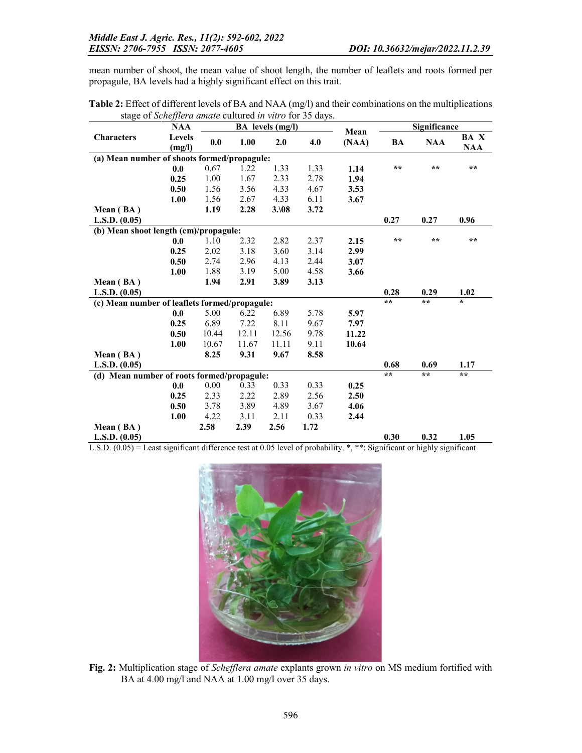mean number of shoot, the mean value of shoot length, the number of leaflets and roots formed per propagule, BA levels had a highly significant effect on this trait.

Table 2: Effect of different levels of BA and NAA (mg/l) and their combinations on the multiplications stage of *Schefflera amate* cultured *in vitro* for 35 days.

|                                               | <b>NAA</b>    |       | <b>BA</b> levels (mg/l) |       |      |               | Significance |              |               |
|-----------------------------------------------|---------------|-------|-------------------------|-------|------|---------------|--------------|--------------|---------------|
| <b>Characters</b>                             | <b>Levels</b> | 0.0   | 1.00<br>2.0             |       | 4.0  | Mean<br>(NAA) | BA           | <b>NAA</b>   | BA X          |
|                                               | (mg/l)        |       |                         |       |      |               |              |              | <b>NAA</b>    |
| (a) Mean number of shoots formed/propagule:   |               |       |                         |       |      |               |              |              |               |
|                                               | 0.0           | 0.67  | 1.22                    | 1.33  | 1.33 | 1.14          | $**$         | $**$         | $\star\star$  |
|                                               | 0.25          | 1.00  | 1.67                    | 2.33  | 2.78 | 1.94          |              |              |               |
|                                               | 0.50          | 1.56  | 3.56                    | 4.33  | 4.67 | 3.53          |              |              |               |
|                                               | 1.00          | 1.56  | 2.67                    | 4.33  | 6.11 | 3.67          |              |              |               |
| Mean (BA)                                     |               | 1.19  | 2.28                    | 3.108 | 3.72 |               |              |              |               |
| L.S.D. (0.05)                                 |               |       |                         |       |      |               | 0.27         | 0.27         | 0.96          |
| (b) Mean shoot length (cm)/propagule:         |               |       |                         |       |      |               |              |              |               |
|                                               | 0.0           | 1.10  | 2.32                    | 2.82  | 2.37 | 2.15          | $\star\star$ | $\star\star$ | $\star\star$  |
|                                               | 0.25          | 2.02  | 3.18                    | 3.60  | 3.14 | 2.99          |              |              |               |
|                                               | 0.50          | 2.74  | 2.96                    | 4.13  | 2.44 | 3.07          |              |              |               |
|                                               | 1.00          | 1.88  | 3.19                    | 5.00  | 4.58 | 3.66          |              |              |               |
| Mean (BA)                                     |               | 1.94  | 2.91                    | 3.89  | 3.13 |               |              |              |               |
| L.S.D. (0.05)                                 |               |       |                         |       |      |               | 0.28         | 0.29         | 1.02          |
| (c) Mean number of leaflets formed/propagule: |               |       |                         |       |      |               | $\star\star$ | $\star\star$ | $\star$       |
|                                               | 0.0           | 5.00  | 6.22                    | 6.89  | 5.78 | 5.97          |              |              |               |
|                                               | 0.25          | 6.89  | 7.22                    | 8.11  | 9.67 | 7.97          |              |              |               |
|                                               | 0.50          | 10.44 | 12.11                   | 12.56 | 9.78 | 11.22         |              |              |               |
|                                               | 1.00          | 10.67 | 11.67                   | 11.11 | 9.11 | 10.64         |              |              |               |
| Mean (BA)                                     |               | 8.25  | 9.31                    | 9.67  | 8.58 |               |              |              |               |
| L.S.D. (0.05)                                 |               |       |                         |       |      |               | 0.68         | 0.69         | 1.17          |
| (d) Mean number of roots formed/propagule:    |               |       |                         |       |      |               | $\star\star$ | $**$         | $\star \star$ |
|                                               | 0.0           | 0.00  | 0.33                    | 0.33  | 0.33 | 0.25          |              |              |               |
|                                               | 0.25          | 2.33  | 2.22                    | 2.89  | 2.56 | 2.50          |              |              |               |
|                                               | 0.50          | 3.78  | 3.89                    | 4.89  | 3.67 | 4.06          |              |              |               |
|                                               | 1.00          | 4.22  | 3.11                    | 2.11  | 0.33 | 2.44          |              |              |               |
| Mean (BA)                                     |               | 2.58  | 2.39                    | 2.56  | 1.72 |               |              |              |               |
| L.S.D. (0.05)                                 |               |       |                         |       |      |               | 0.30         | 0.32         | 1.05          |

L.S.D. (0.05) = Least significant difference test at 0.05 level of probability. \*, \*\*: Significant or highly significant



Fig. 2: Multiplication stage of *Schefflera amate* explants grown *in vitro* on MS medium fortified with BA at 4.00 mg/l and NAA at 1.00 mg/l over 35 days.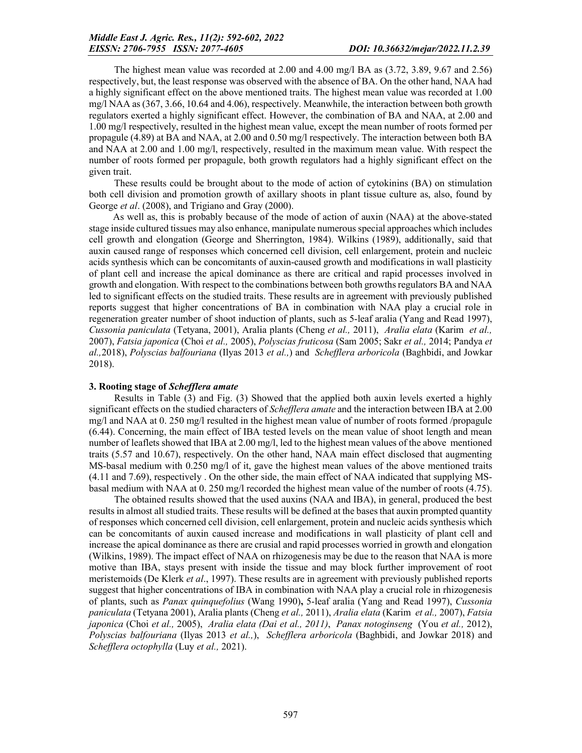The highest mean value was recorded at 2.00 and 4.00 mg/l BA as (3.72, 3.89, 9.67 and 2.56) respectively, but, the least response was observed with the absence of BA. On the other hand, NAA had a highly significant effect on the above mentioned traits. The highest mean value was recorded at 1.00 mg/l NAA as (367, 3.66, 10.64 and 4.06), respectively. Meanwhile, the interaction between both growth regulators exerted a highly significant effect. However, the combination of BA and NAA, at 2.00 and 1.00 mg/l respectively, resulted in the highest mean value, except the mean number of roots formed per propagule (4.89) at BA and NAA, at 2.00 and 0.50 mg/l respectively. The interaction between both BA and NAA at 2.00 and 1.00 mg/l, respectively, resulted in the maximum mean value. With respect the number of roots formed per propagule, both growth regulators had a highly significant effect on the given trait.

These results could be brought about to the mode of action of cytokinins (BA) on stimulation both cell division and promotion growth of axillary shoots in plant tissue culture as, also, found by George *et al*. (2008), and Trigiano and Gray (2000).

As well as, this is probably because of the mode of action of auxin (NAA) at the above-stated stage inside cultured tissues may also enhance, manipulate numerous special approaches which includes cell growth and elongation (George and Sherrington, 1984). Wilkins (1989), additionally, said that auxin caused range of responses which concerned cell division, cell enlargement, protein and nucleic acids synthesis which can be concomitants of auxin-caused growth and modifications in wall plasticity of plant cell and increase the apical dominance as there are critical and rapid processes involved in growth and elongation. With respect to the combinations between both growths regulators BA and NAA led to significant effects on the studied traits. These results are in agreement with previously published reports suggest that higher concentrations of BA in combination with NAA play a crucial role in regeneration greater number of shoot induction of plants, such as 5-leaf aralia (Yang and Read 1997), *Cussonia paniculata* (Tetyana, 2001), Aralia plants (Cheng *et al.,* 2011), *Aralia elata* (Karim *et al.,* 2007), *Fatsia japonica* (Choi *et al.,* 2005), *Polyscias fruticosa* (Sam 2005; Sakr *et al.,* 2014; Pandya *et al.,*2018), *Polyscias balfouriana* (Ilyas 2013 *et al.,*) and *Schefflera arboricola* (Baghbidi, and Jowkar 2018).

### 3. Rooting stage of *Schefflera amate*

Results in Table (3) and Fig. (3) Showed that the applied both auxin levels exerted a highly significant effects on the studied characters of *Schefflera amate* and the interaction between IBA at 2.00 mg/l and NAA at 0. 250 mg/l resulted in the highest mean value of number of roots formed /propagule (6.44). Concerning, the main effect of IBA tested levels on the mean value of shoot length and mean number of leaflets showed that IBA at 2.00 mg/l, led to the highest mean values of the above mentioned traits (5.57 and 10.67), respectively. On the other hand, NAA main effect disclosed that augmenting MS-basal medium with 0.250 mg/l of it, gave the highest mean values of the above mentioned traits (4.11 and 7.69), respectively . On the other side, the main effect of NAA indicated that supplying MSbasal medium with NAA at 0. 250 mg/l recorded the highest mean value of the number of roots (4.75).

The obtained results showed that the used auxins (NAA and IBA), in general, produced the best results in almost all studied traits. These results will be defined at the bases that auxin prompted quantity of responses which concerned cell division, cell enlargement, protein and nucleic acids synthesis which can be concomitants of auxin caused increase and modifications in wall plasticity of plant cell and increase the apical dominance as there are crusial and rapid processes worried in growth and elongation (Wilkins, 1989). The impact effect of NAA on rhizogenesis may be due to the reason that NAA is more motive than IBA, stays present with inside the tissue and may block further improvement of root meristemoids (De Klerk *et al*., 1997). These results are in agreement with previously published reports suggest that higher concentrations of IBA in combination with NAA play a crucial role in rhizogenesis of plants, such as *Panax quinquefolius* (Wang 1990), 5-leaf aralia (Yang and Read 1997), *Cussonia paniculata* (Tetyana 2001), Aralia plants (Cheng *et al.,* 2011), *Aralia elata* (Karim *et al.,* 2007), *Fatsia japonica* (Choi *et al.,* 2005), *Aralia elata (Dai et al., 2011)*, *Panax notoginseng* (You *et al.,* 2012), *Polyscias balfouriana* (Ilyas 2013 *et al.,*), *Schefflera arboricola* (Baghbidi, and Jowkar 2018) and *Schefflera octophylla* (Luy *et al.,* 2021).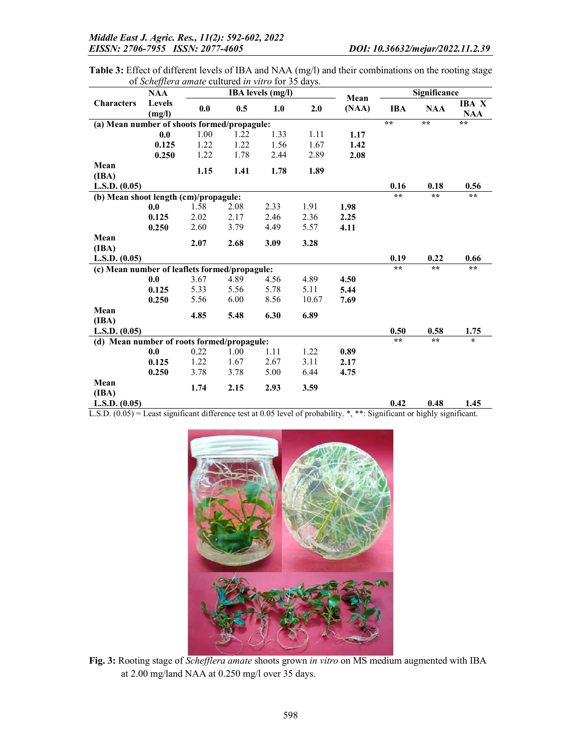| Table 3: Effect of different levels of IBA and NAA (mg/l) and their combinations on the rooting stage |  |  |
|-------------------------------------------------------------------------------------------------------|--|--|
| of <i>Schefflera amate</i> cultured <i>in vitro</i> for 35 days.                                      |  |  |

|                                               | <b>NAA</b> |      |      | <b>IBA</b> levels (mg/l) |       | Mean  | Significance    |                 |              |  |
|-----------------------------------------------|------------|------|------|--------------------------|-------|-------|-----------------|-----------------|--------------|--|
| <b>Characters</b>                             | Levels     | 0.0  | 0.5  | 1.0                      | 2.0   |       | <b>IBA</b>      | <b>NAA</b>      | <b>IBA</b> X |  |
|                                               | (mg/l)     |      |      |                          |       | (NAA) |                 |                 | <b>NAA</b>   |  |
| (a) Mean number of shoots formed/propagule:   |            |      |      |                          |       |       |                 | $**$            | $**$         |  |
|                                               | 0.0        | 1.00 | 1.22 | 1.33                     | 1.11  | 1.17  |                 |                 |              |  |
|                                               | 0.125      | 1.22 | 1.22 | 1.56                     | 1.67  | 1.42  |                 |                 |              |  |
|                                               | 0.250      | 1.22 | 1.78 | 2.44                     | 2.89  | 2.08  |                 |                 |              |  |
| Mean                                          |            |      |      |                          |       |       |                 |                 |              |  |
| (IBA)                                         |            | 1.15 | 1.41 | 1.78                     | 1.89  |       |                 |                 |              |  |
| L.S.D. (0.05)                                 |            |      |      |                          |       |       | 0.16            | 0.18            | 0.56         |  |
| (b) Mean shoot length (cm)/propagule:         |            |      |      |                          |       |       | $\star$ $\star$ | $\star$ $\star$ | $\star\star$ |  |
|                                               | 0.0        | 1.58 | 2.08 | 2.33                     | 1.91  | 1.98  |                 |                 |              |  |
|                                               | 0.125      | 2.02 | 2.17 | 2.46                     | 2.36  | 2.25  |                 |                 |              |  |
|                                               | 0.250      | 2.60 | 3.79 | 4.49                     | 5.57  | 4.11  |                 |                 |              |  |
| Mean                                          |            | 2.07 | 2.68 | 3.09                     | 3.28  |       |                 |                 |              |  |
| (IBA)                                         |            |      |      |                          |       |       |                 |                 |              |  |
| L.S.D. (0.05)                                 |            |      |      |                          |       |       | 0.19            | 0.22            | 0.66         |  |
| (c) Mean number of leaflets formed/propagule: |            |      |      |                          |       |       | $**$            | $**$            | $* *$        |  |
|                                               | 0.0        | 3.67 | 4.89 | 4.56                     | 4.89  | 4.50  |                 |                 |              |  |
|                                               | 0.125      | 5.33 | 5.56 | 5.78                     | 5.11  | 5.44  |                 |                 |              |  |
|                                               | 0.250      | 5.56 | 6.00 | 8.56                     | 10.67 | 7.69  |                 |                 |              |  |
| Mean                                          |            | 4.85 | 5.48 | 6.30                     | 6.89  |       |                 |                 |              |  |
| (IBA)                                         |            |      |      |                          |       |       |                 |                 |              |  |
| L.S.D. (0.05)                                 |            |      |      |                          |       |       | 0.50            | 0.58            | 1.75         |  |
| (d) Mean number of roots formed/propagule:    |            |      |      |                          |       |       | $**$            | $\star\star$    | $\star$      |  |
|                                               | 0.0        | 0.22 | 1.00 | 1.11                     | 1.22  | 0.89  |                 |                 |              |  |
|                                               | 0.125      | 1.22 | 1.67 | 2.67                     | 3.11  | 2.17  |                 |                 |              |  |
|                                               | 0.250      | 3.78 | 3.78 | 5.00                     | 6.44  | 4.75  |                 |                 |              |  |
| Mean                                          |            | 1.74 | 2.15 | 2.93                     | 3.59  |       |                 |                 |              |  |
| (IBA)                                         |            |      |      |                          |       |       |                 |                 |              |  |
| L.S.D. (0.05)                                 |            |      |      |                          |       |       | 0.42            | 0.48            | 1.45         |  |

L.S.D. (0.05) = Least significant difference test at 0.05 level of probability. \*, \*\*: Significant or highly significant.



Fig. 3: Rooting stage of *Schefflera amate* shoots grown *in vitro* on MS medium augmented with IBA at 2.00 mg/land NAA at 0.250 mg/l over 35 days.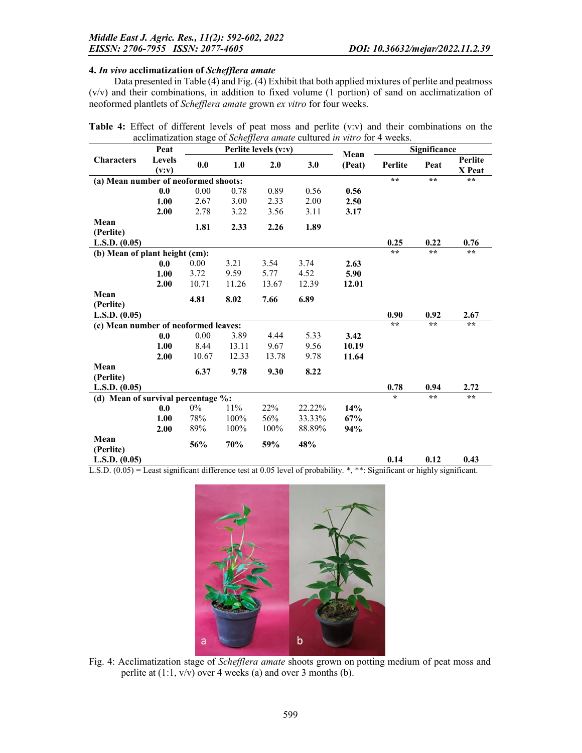### 4. *In vivo* acclimatization of *Schefflera amate*

Data presented in Table (4) and Fig. (4) Exhibit that both applied mixtures of perlite and peatmoss (v/v) and their combinations, in addition to fixed volume (1 portion) of sand on acclimatization of neoformed plantlets of *Schefflera amate* grown *ex vitro* for four weeks.

|                                      |                  |       |       |                      | accilinatization stage of <i>schefferd amale</i> cultured <i>in vitro</i> for 4 weeks. |                |                 |              |                          |
|--------------------------------------|------------------|-------|-------|----------------------|----------------------------------------------------------------------------------------|----------------|-----------------|--------------|--------------------------|
|                                      | Peat             |       |       | Perlite levels (v:v) |                                                                                        | Mean<br>(Peat) | Significance    |              |                          |
| <b>Characters</b>                    | Levels<br>(v: v) | 0.0   | 1.0   | 2.0                  | 3.0                                                                                    |                | Perlite         | Peat         | <b>Perlite</b><br>X Peat |
| (a) Mean number of neoformed shoots: |                  |       |       |                      |                                                                                        |                | $\star$ $\star$ | $\star\star$ | $**$                     |
|                                      | 0.0              | 0.00  | 0.78  | 0.89                 | 0.56                                                                                   | 0.56           |                 |              |                          |
|                                      | 1.00             | 2.67  | 3.00  | 2.33                 | 2.00                                                                                   | 2.50           |                 |              |                          |
|                                      | 2.00             | 2.78  | 3.22  | 3.56                 | 3.11                                                                                   | 3.17           |                 |              |                          |
| Mean<br>(Perlite)                    |                  | 1.81  | 2.33  | 2.26                 | 1.89                                                                                   |                |                 |              |                          |
| L.S.D. (0.05)                        |                  |       |       |                      |                                                                                        |                | 0.25            | 0.22         | 0.76                     |
| (b) Mean of plant height (cm):       |                  |       |       |                      |                                                                                        |                | $***$           | $\star\star$ | $\star\star$             |
|                                      | 0.0              | 0.00  | 3.21  | 3.54                 | 3.74                                                                                   | 2.63           |                 |              |                          |
|                                      | 1.00             | 3.72  | 9.59  | 5.77                 | 4.52                                                                                   | 5.90           |                 |              |                          |
|                                      | 2.00             | 10.71 | 11.26 | 13.67                | 12.39                                                                                  | 12.01          |                 |              |                          |
| Mean                                 |                  |       |       |                      |                                                                                        |                |                 |              |                          |
| (Perlite)                            |                  | 4.81  | 8.02  | 7.66                 | 6.89                                                                                   |                |                 |              |                          |
| L.S.D. (0.05)                        |                  |       |       |                      |                                                                                        |                | 0.90            | 0.92         | 2.67                     |
| (c) Mean number of neoformed leaves: |                  |       |       |                      |                                                                                        |                | $***$           | $***$        | **                       |
|                                      | 0.0              | 0.00  | 3.89  | 4.44                 | 5.33                                                                                   | 3.42           |                 |              |                          |
|                                      | 1.00             | 8.44  | 13.11 | 9.67                 | 9.56                                                                                   | 10.19          |                 |              |                          |
|                                      | 2.00             | 10.67 | 12.33 | 13.78                | 9.78                                                                                   | 11.64          |                 |              |                          |
| Mean<br>(Perlite)                    |                  | 6.37  | 9.78  | 9.30                 | 8.22                                                                                   |                |                 |              |                          |
| L.S.D. (0.05)                        |                  |       |       |                      |                                                                                        |                | 0.78            | 0.94         | 2.72                     |
| (d) Mean of survival percentage %:   |                  |       |       |                      |                                                                                        |                | $\star$         | $**$         | $\star$ $\star$          |
|                                      | 0.0              | $0\%$ | 11%   | 22%                  | 22.22%                                                                                 | 14%            |                 |              |                          |
|                                      | 1.00             | 78%   | 100%  | 56%                  | 33.33%                                                                                 | 67%            |                 |              |                          |
|                                      | 2.00             | 89%   | 100%  | 100%                 | 88.89%                                                                                 | 94%            |                 |              |                          |
| Mean                                 |                  | 56%   | 70%   | 59%                  | 48%                                                                                    |                |                 |              |                          |
| (Perlite)<br>L.S.D. (0.05)           |                  |       |       |                      |                                                                                        |                | 0.14            | 0.12         | 0.43                     |

Table 4: Effect of different levels of peat moss and perlite (v:v) and their combinations on the acclimatization stage of *Schefflera amate* cultured *in vitro* for 4 weeks.

L.S.D.  $(0.05)$  = Least significant difference test at 0.05 level of probability. \*, \*\*: Significant or highly significant.



Fig. 4: Acclimatization stage of *Schefflera amate* shoots grown on potting medium of peat moss and perlite at (1:1, v/v) over 4 weeks (a) and over 3 months (b).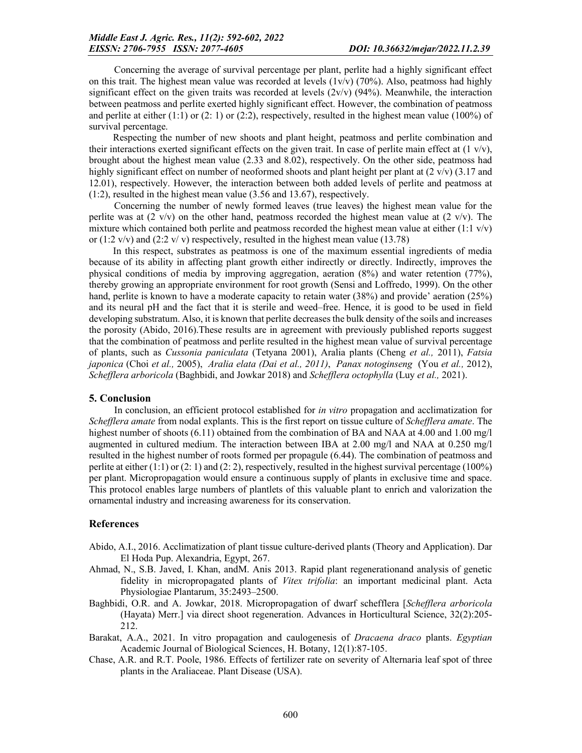Concerning the average of survival percentage per plant, perlite had a highly significant effect on this trait. The highest mean value was recorded at levels  $(1v/v)$  (70%). Also, peatmoss had highly significant effect on the given traits was recorded at levels  $(2v/v)$  (94%). Meanwhile, the interaction between peatmoss and perlite exerted highly significant effect. However, the combination of peatmoss and perlite at either (1:1) or (2: 1) or (2:2), respectively, resulted in the highest mean value (100%) of survival percentage.

Respecting the number of new shoots and plant height, peatmoss and perlite combination and their interactions exerted significant effects on the given trait. In case of perlite main effect at  $(1 \text{ v/v})$ , brought about the highest mean value (2.33 and 8.02), respectively. On the other side, peatmoss had highly significant effect on number of neoformed shoots and plant height per plant at  $(2 \text{ v/v})$  (3.17 and 12.01), respectively. However, the interaction between both added levels of perlite and peatmoss at (1:2), resulted in the highest mean value (3.56 and 13.67), respectively.

Concerning the number of newly formed leaves (true leaves) the highest mean value for the perlite was at  $(2 \text{ v/v})$  on the other hand, peatmoss recorded the highest mean value at  $(2 \text{ v/v})$ . The mixture which contained both perlite and peatmoss recorded the highest mean value at either  $(1:1 \text{ v/v})$ or (1:2 v/v) and (2:2 v/v) respectively, resulted in the highest mean value (13.78)

In this respect, substrates as peatmoss is one of the maximum essential ingredients of media because of its ability in affecting plant growth either indirectly or directly. Indirectly, improves the physical conditions of media by improving aggregation, aeration (8%) and water retention (77%), thereby growing an appropriate environment for root growth (Sensi and Loffredo, 1999). On the other hand, perlite is known to have a moderate capacity to retain water (38%) and provide' aeration (25%) and its neural pH and the fact that it is sterile and weed–free. Hence, it is good to be used in field developing substratum. Also, it is known that perlite decreases the bulk density of the soils and increases the porosity (Abido, 2016).These results are in agreement with previously published reports suggest that the combination of peatmoss and perlite resulted in the highest mean value of survival percentage of plants, such as *Cussonia paniculata* (Tetyana 2001), Aralia plants (Cheng *et al.,* 2011), *Fatsia japonica* (Choi *et al.,* 2005), *Aralia elata (Dai et al., 2011)*, *Panax notoginseng* (You *et al.,* 2012), *Schefflera arboricola* (Baghbidi, and Jowkar 2018) and *Schefflera octophylla* (Luy *et al.,* 2021).

#### 5. Conclusion

In conclusion, an efficient protocol established for *in vitro* propagation and acclimatization for *Schefflera amate* from nodal explants. This is the first report on tissue culture of *Schefflera amate*. The highest number of shoots (6.11) obtained from the combination of BA and NAA at 4.00 and 1.00 mg/l augmented in cultured medium. The interaction between IBA at 2.00 mg/l and NAA at 0.250 mg/l resulted in the highest number of roots formed per propagule (6.44). The combination of peatmoss and perlite at either (1:1) or (2: 1) and (2: 2), respectively, resulted in the highest survival percentage (100%) per plant. Micropropagation would ensure a continuous supply of plants in exclusive time and space. This protocol enables large numbers of plantlets of this valuable plant to enrich and valorization the ornamental industry and increasing awareness for its conservation.

#### References

- Abido, A.I., 2016. Acclimatization of plant tissue culture-derived plants (Theory and Application). Dar El Hoda Pup. Alexandria, Egypt, 267.
- Ahmad, N., S.B. Javed, I. Khan, andM. Anis 2013. Rapid plant regenerationand analysis of genetic fidelity in micropropagated plants of *Vitex trifolia*: an important medicinal plant. Acta Physiologiae Plantarum, 35:2493–2500.
- Baghbidi, O.R. and A. Jowkar, 2018. Micropropagation of dwarf schefflera [*Schefflera arboricola* (Hayata) Merr.] via direct shoot regeneration. Advances in Horticultural Science, 32(2):205- 212.
- Barakat, A.A., 2021. In vitro propagation and caulogenesis of *Dracaena draco* plants. *Egyptian*  Academic Journal of Biological Sciences, H. Botany, 12(1):87-105.
- Chase, A.R. and R.T. Poole, 1986. Effects of fertilizer rate on severity of Alternaria leaf spot of three plants in the Araliaceae. Plant Disease (USA).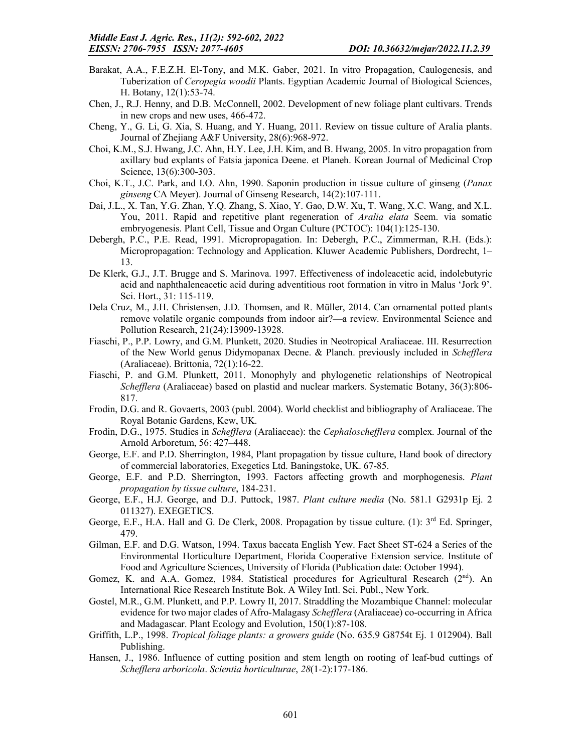- Barakat, A.A., F.E.Z.H. El-Tony, and M.K. Gaber, 2021. In vitro Propagation, Caulogenesis, and Tuberization of *Ceropegia woodii* Plants. Egyptian Academic Journal of Biological Sciences, H. Botany, 12(1):53-74.
- Chen, J., R.J. Henny, and D.B. McConnell, 2002. Development of new foliage plant cultivars. Trends in new crops and new uses, 466-472.
- Cheng, Y., G. Li, G. Xia, S. Huang, and Y. Huang, 2011. Review on tissue culture of Aralia plants. Journal of Zhejiang A&F University, 28(6):968-972.
- Choi, K.M., S.J. Hwang, J.C. Ahn, H.Y. Lee, J.H. Kim, and B. Hwang, 2005. In vitro propagation from axillary bud explants of Fatsia japonica Deene. et Planeh. Korean Journal of Medicinal Crop Science, 13(6):300-303.
- Choi, K.T., J.C. Park, and I.O. Ahn, 1990. Saponin production in tissue culture of ginseng (*Panax ginseng* CA Meyer). Journal of Ginseng Research, 14(2):107-111.
- Dai, J.L., X. Tan, Y.G. Zhan, Y.Q. Zhang, S. Xiao, Y. Gao, D.W. Xu, T. Wang, X.C. Wang, and X.L. You, 2011. Rapid and repetitive plant regeneration of *Aralia elata* Seem. via somatic embryogenesis. Plant Cell, Tissue and Organ Culture (PCTOC): 104(1):125-130.
- Debergh, P.C., P.E. Read, 1991. Micropropagation. In: Debergh, P.C., Zimmerman, R.H. (Eds.): Micropropagation: Technology and Application. Kluwer Academic Publishers, Dordrecht, 1– 13.
- De Klerk, G.J., J.T. Brugge and S. Marinova. 1997. Effectiveness of indoleacetic acid, indolebutyric acid and naphthaleneacetic acid during adventitious root formation in vitro in Malus 'Jork 9'. Sci. Hort., 31: 115-119.
- Dela Cruz, M., J.H. Christensen, J.D. Thomsen, and R. Müller, 2014. Can ornamental potted plants remove volatile organic compounds from indoor air?—a review. Environmental Science and Pollution Research, 21(24):13909-13928.
- Fiaschi, P., P.P. Lowry, and G.M. Plunkett, 2020. Studies in Neotropical Araliaceae. III. Resurrection of the New World genus Didymopanax Decne. & Planch. previously included in *Schefflera* (Araliaceae). Brittonia, 72(1):16-22.
- Fiaschi, P. and G.M. Plunkett, 2011. Monophyly and phylogenetic relationships of Neotropical *Schefflera* (Araliaceae) based on plastid and nuclear markers. Systematic Botany, 36(3):806- 817.
- Frodin, D.G. and R. Govaerts, 2003 (publ. 2004). World checklist and bibliography of Araliaceae. The Royal Botanic Gardens, Kew, UK.
- Frodin, D.G., 1975. Studies in *Schefflera* (Araliaceae): the *Cephaloschefflera* complex. Journal of the Arnold Arboretum, 56: 427–448.
- George, E.F. and P.D. Sherrington, 1984, Plant propagation by tissue culture, Hand book of directory of commercial laboratories, Exegetics Ltd. Baningstoke, UK. 67-85.
- George, E.F. and P.D. Sherrington, 1993. Factors affecting growth and morphogenesis. *Plant propagation by tissue culture*, 184-231.
- George, E.F., H.J. George, and D.J. Puttock, 1987. *Plant culture media* (No. 581.1 G2931p Ej. 2 011327). EXEGETICS.
- George, E.F., H.A. Hall and G. De Clerk, 2008. Propagation by tissue culture. (1): 3<sup>rd</sup> Ed. Springer, 479.
- Gilman, E.F. and D.G. Watson, 1994. Taxus baccata English Yew. Fact Sheet ST-624 a Series of the Environmental Horticulture Department, Florida Cooperative Extension service. Institute of Food and Agriculture Sciences, University of Florida (Publication date: October 1994).
- Gomez, K. and A.A. Gomez, 1984. Statistical procedures for Agricultural Research  $(2<sup>nd</sup>)$ . An International Rice Research Institute Bok. A Wiley Intl. Sci. Publ., New York.
- Gostel, M.R., G.M. Plunkett, and P.P. Lowry II, 2017. Straddling the Mozambique Channel: molecular evidence for two major clades of Afro-Malagasy *Schefflera* (Araliaceae) co-occurring in Africa and Madagascar. Plant Ecology and Evolution, 150(1):87-108.
- Griffith, L.P., 1998. *Tropical foliage plants: a growers guide* (No. 635.9 G8754t Ej. 1 012904). Ball Publishing.
- Hansen, J., 1986. Influence of cutting position and stem length on rooting of leaf-bud cuttings of *Schefflera arboricola*. *Scientia horticulturae*, *28*(1-2):177-186.